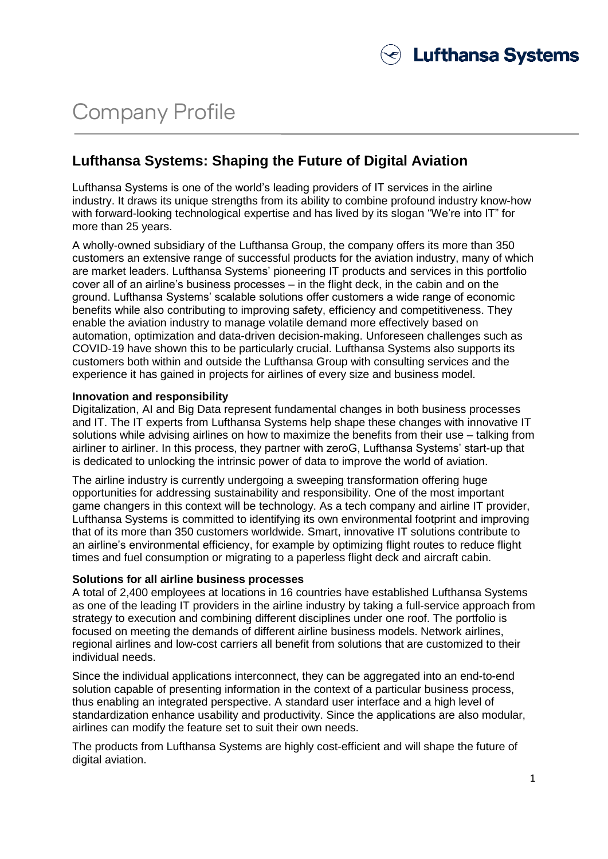# Company Profile

### **Lufthansa Systems: Shaping the Future of Digital Aviation**

Lufthansa Systems is one of the world's leading providers of IT services in the airline industry. It draws its unique strengths from its ability to combine profound industry know-how with forward-looking technological expertise and has lived by its slogan "We're into IT" for more than 25 years.

A wholly-owned subsidiary of the Lufthansa Group, the company offers its more than 350 customers an extensive range of successful products for the aviation industry, many of which are market leaders. Lufthansa Systems' pioneering IT products and services in this portfolio cover all of an airline's business processes – in the flight deck, in the cabin and on the ground. Lufthansa Systems' scalable solutions offer customers a wide range of economic benefits while also contributing to improving safety, efficiency and competitiveness. They enable the aviation industry to manage volatile demand more effectively based on automation, optimization and data-driven decision-making. Unforeseen challenges such as COVID-19 have shown this to be particularly crucial. Lufthansa Systems also supports its customers both within and outside the Lufthansa Group with consulting services and the experience it has gained in projects for airlines of every size and business model.

### **Innovation and responsibility**

Digitalization, AI and Big Data represent fundamental changes in both business processes and IT. The IT experts from Lufthansa Systems help shape these changes with innovative IT solutions while advising airlines on how to maximize the benefits from their use – talking from airliner to airliner. In this process, they partner with zeroG, Lufthansa Systems' start-up that is dedicated to unlocking the intrinsic power of data to improve the world of aviation.

The airline industry is currently undergoing a sweeping transformation offering huge opportunities for addressing sustainability and responsibility. One of the most important game changers in this context will be technology. As a tech company and airline IT provider, Lufthansa Systems is committed to identifying its own environmental footprint and improving that of its more than 350 customers worldwide. Smart, innovative IT solutions contribute to an airline's environmental efficiency, for example by optimizing flight routes to reduce flight times and fuel consumption or migrating to a paperless flight deck and aircraft cabin.

### **Solutions for all airline business processes**

A total of 2,400 employees at locations in 16 countries have established Lufthansa Systems as one of the leading IT providers in the airline industry by taking a full-service approach from strategy to execution and combining different disciplines under one roof. The portfolio is focused on meeting the demands of different airline business models. Network airlines, regional airlines and low-cost carriers all benefit from solutions that are customized to their individual needs.

Since the individual applications interconnect, they can be aggregated into an end-to-end solution capable of presenting information in the context of a particular business process, thus enabling an integrated perspective. A standard user interface and a high level of standardization enhance usability and productivity. Since the applications are also modular, airlines can modify the feature set to suit their own needs.

The products from Lufthansa Systems are highly cost-efficient and will shape the future of digital aviation.